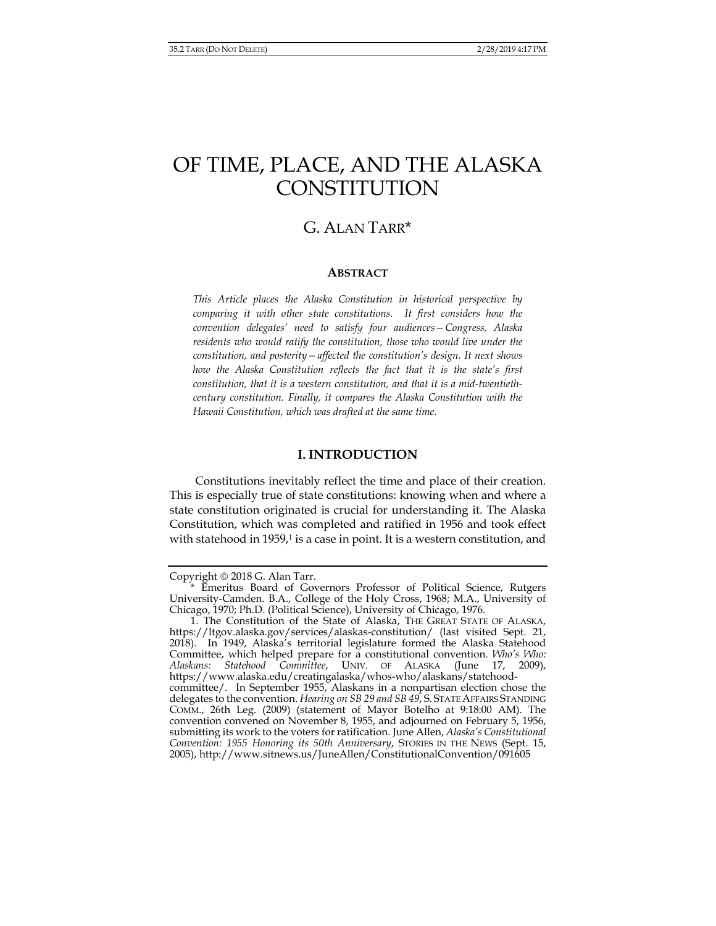# OF TIME, PLACE, AND THE ALASKA **CONSTITUTION**

## G. ALAN TARR\*

### **ABSTRACT**

*This Article places the Alaska Constitution in historical perspective by comparing it with other state constitutions. It first considers how the convention delegates' need to satisfy four audiences—Congress, Alaska residents who would ratify the constitution, those who would live under the constitution, and posterity—affected the constitution's design. It next shows how the Alaska Constitution reflects the fact that it is the state's first constitution, that it is a western constitution, and that it is a mid-twentiethcentury constitution. Finally, it compares the Alaska Constitution with the Hawaii Constitution, which was drafted at the same time.* 

## **I. INTRODUCTION**

Constitutions inevitably reflect the time and place of their creation. This is especially true of state constitutions: knowing when and where a state constitution originated is crucial for understanding it. The Alaska Constitution, which was completed and ratified in 1956 and took effect with statehood in 1959, $1$  is a case in point. It is a western constitution, and

Copyright  $\odot$  2018 G. Alan Tarr.

 <sup>\*</sup> Emeritus Board of Governors Professor of Political Science, Rutgers University-Camden. B.A., College of the Holy Cross, 1968; M.A., University of Chicago, 1970; Ph.D. (Political Science), University of Chicago, 1976.

<sup>1.</sup> The Constitution of the State of Alaska, THE GREAT STATE OF ALASKA, https://ltgov.alaska.gov/services/alaskas-constitution/ (last visited Sept. 21, 2018). In 1949, Alaska's territorial legislature formed the Alaska Statehood Committee, which helped prepare for a constitutional convention. *Who's Who:*  UNIV. OF ALASKA (June 17, 2009), https://www.alaska.edu/creatingalaska/whos-who/alaskans/statehoodcommittee/. In September 1955, Alaskans in a nonpartisan election chose the delegates to the convention. *Hearing on SB 29 and SB 49*, S. STATE AFFAIRS STANDING COMM., 26th Leg. (2009) (statement of Mayor Botelho at 9:18:00 AM). The convention convened on November 8, 1955, and adjourned on February 5, 1956, submitting its work to the voters for ratification. June Allen, *Alaska's Constitutional Convention: 1955 Honoring its 50th Anniversary*, STORIES IN THE NEWS (Sept. 15, 2005), http://www.sitnews.us/JuneAllen/ConstitutionalConvention/091605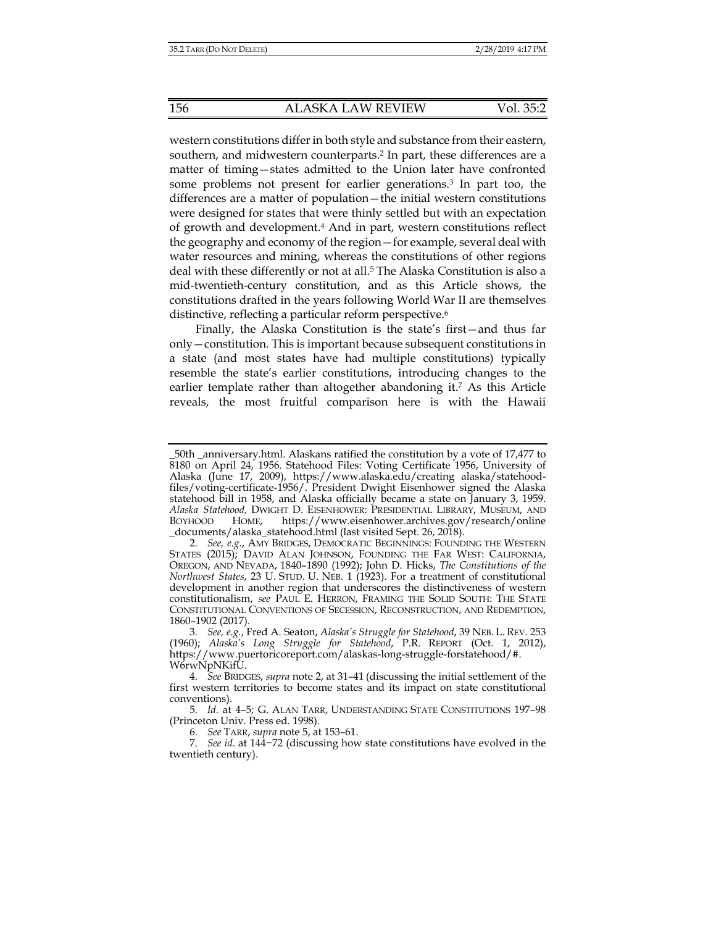western constitutions differ in both style and substance from their eastern, southern, and midwestern counterparts.2 In part, these differences are a matter of timing—states admitted to the Union later have confronted some problems not present for earlier generations.3 In part too, the differences are a matter of population—the initial western constitutions were designed for states that were thinly settled but with an expectation of growth and development.4 And in part, western constitutions reflect the geography and economy of the region—for example, several deal with water resources and mining, whereas the constitutions of other regions deal with these differently or not at all.<sup>5</sup> The Alaska Constitution is also a mid-twentieth-century constitution, and as this Article shows, the constitutions drafted in the years following World War II are themselves distinctive, reflecting a particular reform perspective.<sup>6</sup>

Finally, the Alaska Constitution is the state's first—and thus far only—constitution. This is important because subsequent constitutions in a state (and most states have had multiple constitutions) typically resemble the state's earlier constitutions, introducing changes to the earlier template rather than altogether abandoning it.7 As this Article reveals, the most fruitful comparison here is with the Hawaii

\_50th \_anniversary.html. Alaskans ratified the constitution by a vote of 17,477 to 8180 on April 24, 1956. Statehood Files: Voting Certificate 1956, University of Alaska (June 17, 2009), https://www.alaska.edu/creating alaska/statehoodfiles/voting-certificate-1956/. President Dwight Eisenhower signed the Alaska statehood bill in 1958, and Alaska officially became a state on January 3, 1959. *Alaska Statehood,* DWIGHT D. EISENHOWER: PRESIDENTIAL LIBRARY, MUSEUM, AND BOYHOOD HOME, https://www.eisenhower.archives.gov/research/online \_documents/alaska\_statehood.html (last visited Sept. 26, 2018).

 <sup>2.</sup> *See, e.g.*, AMY BRIDGES, DEMOCRATIC BEGINNINGS: FOUNDING THE WESTERN STATES (2015); DAVID ALAN JOHNSON, FOUNDING THE FAR WEST: CALIFORNIA, OREGON, AND NEVADA, 1840–1890 (1992); John D. Hicks, *The Constitutions of the Northwest States*, 23 U. STUD. U. NEB. 1 (1923). For a treatment of constitutional development in another region that underscores the distinctiveness of western constitutionalism, *see* PAUL E. HERRON, FRAMING THE SOLID SOUTH: THE STATE CONSTITUTIONAL CONVENTIONS OF SECESSION, RECONSTRUCTION, AND REDEMPTION, 1860–1902 (2017).

 <sup>3.</sup> *See, e.g.*, Fred A. Seaton, *Alaska's Struggle for Statehood*, 39 NEB. L. REV. 253 (1960); *Alaska's Long Struggle for Statehood*, P.R. REPORT (Oct. 1, 2012), https://www.puertoricoreport.com/alaskas-long-struggle-forstatehood/#. W6rwNpNKifU.

 <sup>4.</sup> *See* BRIDGES, *supra* note 2, at 31–41 (discussing the initial settlement of the first western territories to become states and its impact on state constitutional conventions).

 <sup>5.</sup> *Id.* at 4–5; G. ALAN TARR, UNDERSTANDING STATE CONSTITUTIONS 197–98 (Princeton Univ. Press ed. 1998).

 <sup>6.</sup> *See* TARR, *supra* note 5, at 153–61.

 <sup>7.</sup> *See id*. at 144−72 (discussing how state constitutions have evolved in the twentieth century).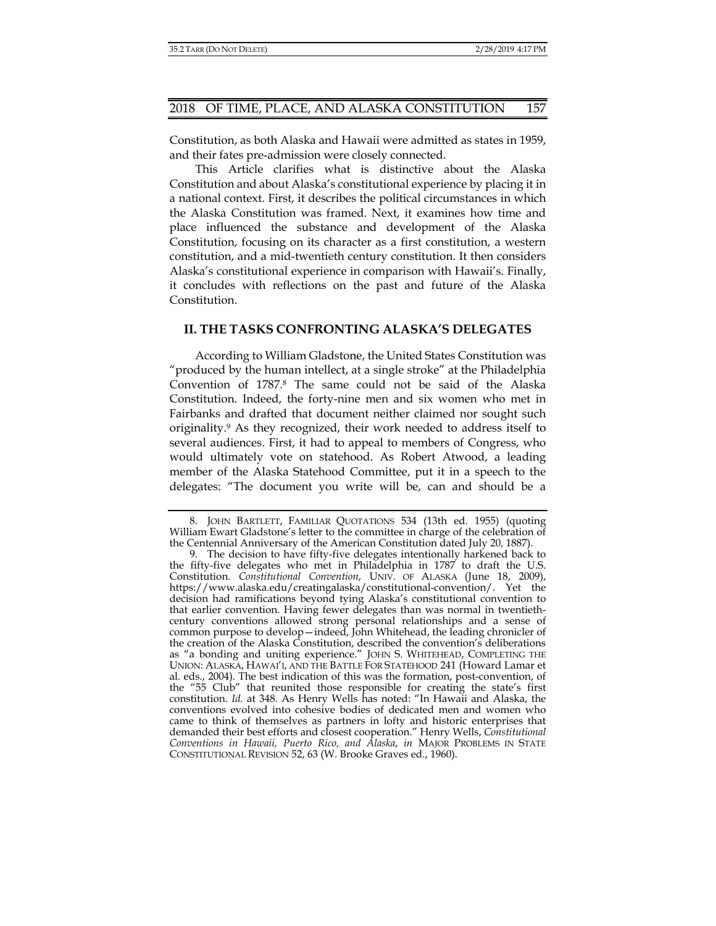Constitution, as both Alaska and Hawaii were admitted as states in 1959, and their fates pre-admission were closely connected.

This Article clarifies what is distinctive about the Alaska Constitution and about Alaska's constitutional experience by placing it in a national context. First, it describes the political circumstances in which the Alaska Constitution was framed. Next, it examines how time and place influenced the substance and development of the Alaska Constitution, focusing on its character as a first constitution, a western constitution, and a mid-twentieth century constitution. It then considers Alaska's constitutional experience in comparison with Hawaii's. Finally, it concludes with reflections on the past and future of the Alaska Constitution.

## **II. THE TASKS CONFRONTING ALASKA'S DELEGATES**

According to William Gladstone, the United States Constitution was "produced by the human intellect, at a single stroke" at the Philadelphia Convention of 1787.8 The same could not be said of the Alaska Constitution. Indeed, the forty-nine men and six women who met in Fairbanks and drafted that document neither claimed nor sought such originality.9 As they recognized, their work needed to address itself to several audiences. First, it had to appeal to members of Congress, who would ultimately vote on statehood. As Robert Atwood, a leading member of the Alaska Statehood Committee, put it in a speech to the delegates: "The document you write will be, can and should be a

 <sup>8.</sup> JOHN BARTLETT, FAMILIAR QUOTATIONS 534 (13th ed. 1955) (quoting William Ewart Gladstone's letter to the committee in charge of the celebration of the Centennial Anniversary of the American Constitution dated July 20, 1887).

 <sup>9.</sup> The decision to have fifty-five delegates intentionally harkened back to the fifty-five delegates who met in Philadelphia in 1787 to draft the U.S. Constitution. *Constitutional Convention*, UNIV. OF ALASKA (June 18, 2009), https://www.alaska.edu/creatingalaska/constitutional-convention/. Yet the decision had ramifications beyond tying Alaska's constitutional convention to that earlier convention. Having fewer delegates than was normal in twentiethcentury conventions allowed strong personal relationships and a sense of common purpose to develop—indeed, John Whitehead, the leading chronicler of the creation of the Alaska Constitution, described the convention's deliberations as "a bonding and uniting experience." JOHN S. WHITEHEAD, COMPLETING THE UNION: ALASKA, HAWAI'I, AND THE BATTLE FOR STATEHOOD 241 (Howard Lamar et al. eds., 2004). The best indication of this was the formation, post-convention, of the "55 Club" that reunited those responsible for creating the state's first constitution. *Id.* at 348. As Henry Wells has noted: "In Hawaii and Alaska, the conventions evolved into cohesive bodies of dedicated men and women who came to think of themselves as partners in lofty and historic enterprises that demanded their best efforts and closest cooperation." Henry Wells, *Constitutional Conventions in Hawaii, Puerto Rico, and Alaska*, *in* MAJOR PROBLEMS IN STATE CONSTITUTIONAL REVISION 52, 63 (W. Brooke Graves ed., 1960).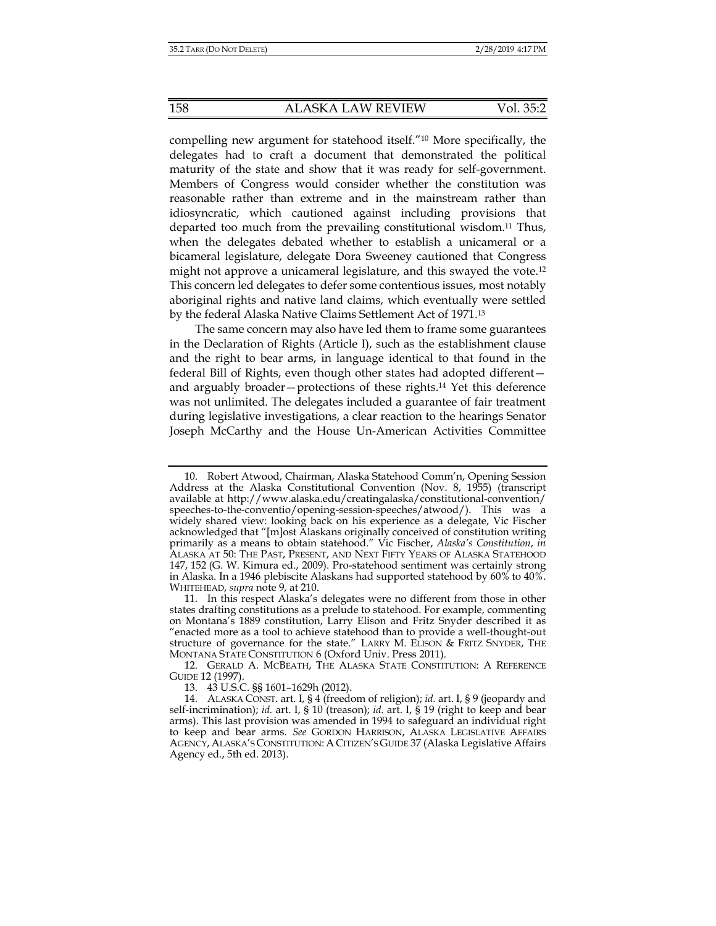compelling new argument for statehood itself."10 More specifically, the delegates had to craft a document that demonstrated the political maturity of the state and show that it was ready for self-government. Members of Congress would consider whether the constitution was reasonable rather than extreme and in the mainstream rather than idiosyncratic, which cautioned against including provisions that departed too much from the prevailing constitutional wisdom.11 Thus, when the delegates debated whether to establish a unicameral or a bicameral legislature, delegate Dora Sweeney cautioned that Congress might not approve a unicameral legislature, and this swayed the vote.12 This concern led delegates to defer some contentious issues, most notably aboriginal rights and native land claims, which eventually were settled by the federal Alaska Native Claims Settlement Act of 1971.13

The same concern may also have led them to frame some guarantees in the Declaration of Rights (Article I), such as the establishment clause and the right to bear arms, in language identical to that found in the federal Bill of Rights, even though other states had adopted different and arguably broader—protections of these rights.14 Yet this deference was not unlimited. The delegates included a guarantee of fair treatment during legislative investigations, a clear reaction to the hearings Senator Joseph McCarthy and the House Un-American Activities Committee

 <sup>10.</sup> Robert Atwood, Chairman, Alaska Statehood Comm'n, Opening Session Address at the Alaska Constitutional Convention (Nov. 8, 1955) (transcript available at http://www.alaska.edu/creatingalaska/constitutional-convention/ speeches-to-the-conventio/opening-session-speeches/atwood/). This was a widely shared view: looking back on his experience as a delegate, Vic Fischer acknowledged that "[m]ost Alaskans originally conceived of constitution writing primarily as a means to obtain statehood." Vic Fischer, *Alaska's Constitution*, *in* ALASKA AT 50: THE PAST, PRESENT, AND NEXT FIFTY YEARS OF ALASKA STATEHOOD 147, 152 (G. W. Kimura ed., 2009). Pro-statehood sentiment was certainly strong in Alaska. In a 1946 plebiscite Alaskans had supported statehood by 60% to 40%. WHITEHEAD, *supra* note 9, at 210.

 <sup>11.</sup> In this respect Alaska's delegates were no different from those in other states drafting constitutions as a prelude to statehood. For example, commenting on Montana's 1889 constitution, Larry Elison and Fritz Snyder described it as "enacted more as a tool to achieve statehood than to provide a well-thought-out structure of governance for the state." LARRY M. ELISON & FRITZ SNYDER, THE MONTANA STATE CONSTITUTION 6 (Oxford Univ. Press 2011).

 <sup>12.</sup> GERALD A. MCBEATH, THE ALASKA STATE CONSTITUTION: A REFERENCE GUIDE 12 (1997).

 <sup>13. 43</sup> U.S.C. §§ 1601–1629h (2012).

 <sup>14.</sup> ALASKA CONST. art. I, § 4 (freedom of religion); *id.* art. I, § 9 (jeopardy and self-incrimination); *id.* art. I, § 10 (treason); *id.* art. I, § 19 (right to keep and bear arms). This last provision was amended in 1994 to safeguard an individual right to keep and bear arms. *See* GORDON HARRISON, ALASKA LEGISLATIVE AFFAIRS AGENCY, ALASKA'S CONSTITUTION: A CITIZEN'S GUIDE 37 (Alaska Legislative Affairs Agency ed., 5th ed. 2013).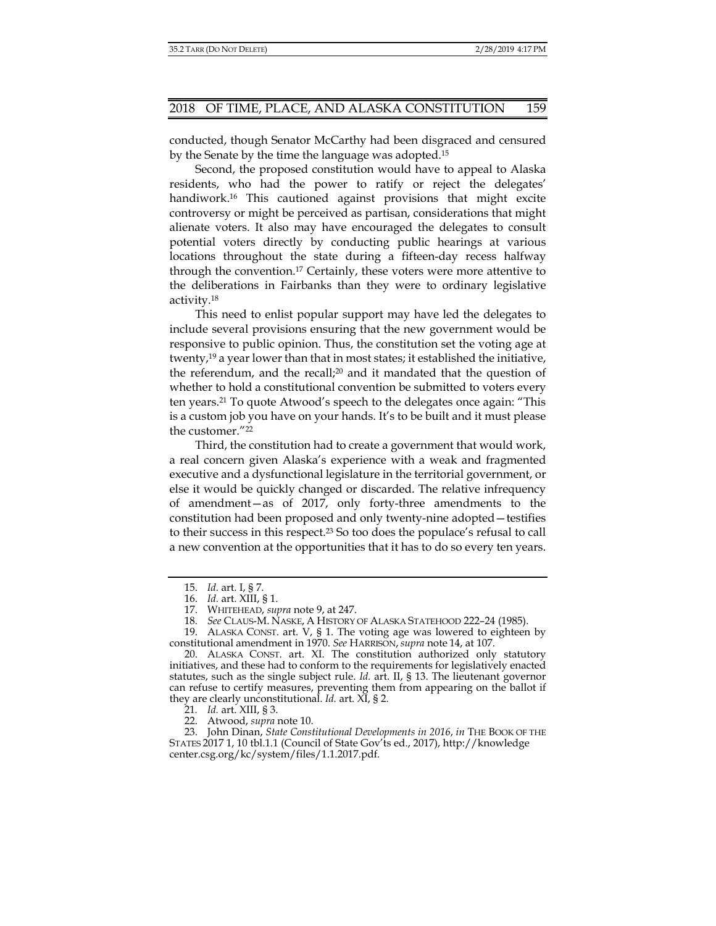conducted, though Senator McCarthy had been disgraced and censured by the Senate by the time the language was adopted.15

Second, the proposed constitution would have to appeal to Alaska residents, who had the power to ratify or reject the delegates' handiwork.<sup>16</sup> This cautioned against provisions that might excite controversy or might be perceived as partisan, considerations that might alienate voters. It also may have encouraged the delegates to consult potential voters directly by conducting public hearings at various locations throughout the state during a fifteen-day recess halfway through the convention.17 Certainly, these voters were more attentive to the deliberations in Fairbanks than they were to ordinary legislative activity.18

This need to enlist popular support may have led the delegates to include several provisions ensuring that the new government would be responsive to public opinion. Thus, the constitution set the voting age at twenty,19 a year lower than that in most states; it established the initiative, the referendum, and the recall;20 and it mandated that the question of whether to hold a constitutional convention be submitted to voters every ten years.21 To quote Atwood's speech to the delegates once again: "This is a custom job you have on your hands. It's to be built and it must please the customer."22

Third, the constitution had to create a government that would work, a real concern given Alaska's experience with a weak and fragmented executive and a dysfunctional legislature in the territorial government, or else it would be quickly changed or discarded. The relative infrequency of amendment—as of 2017, only forty-three amendments to the constitution had been proposed and only twenty-nine adopted—testifies to their success in this respect.23 So too does the populace's refusal to call a new convention at the opportunities that it has to do so every ten years.

21*. Id.* art. XIII, § 3.

22. Atwood, *supra* note 10.

 <sup>15.</sup> *Id.* art. I, § 7.

 <sup>16.</sup> *Id.* art. XIII, § 1.

 <sup>17.</sup> WHITEHEAD, *supra* note 9, at 247.

 <sup>18.</sup> *See* CLAUS-M. NASKE, A HISTORY OF ALASKA STATEHOOD 222–24 (1985).

 <sup>19.</sup> ALASKA CONST. art. V, § 1. The voting age was lowered to eighteen by constitutional amendment in 1970. *See* HARRISON, *supra* note 14, at 107.

 <sup>20.</sup> ALASKA CONST. art. XI. The constitution authorized only statutory initiatives, and these had to conform to the requirements for legislatively enacted statutes, such as the single subject rule. *Id.* art. II, § 13. The lieutenant governor can refuse to certify measures, preventing them from appearing on the ballot if they are clearly unconstitutional. *Id.* art. XI, § 2.

 <sup>23.</sup> John Dinan, *State Constitutional Developments in 2016*, *in* THE BOOK OF THE STATES 2017 1, 10 tbl.1.1 (Council of State Gov'ts ed., 2017), http://knowledge center.csg.org/kc/system/files/1.1.2017.pdf*.*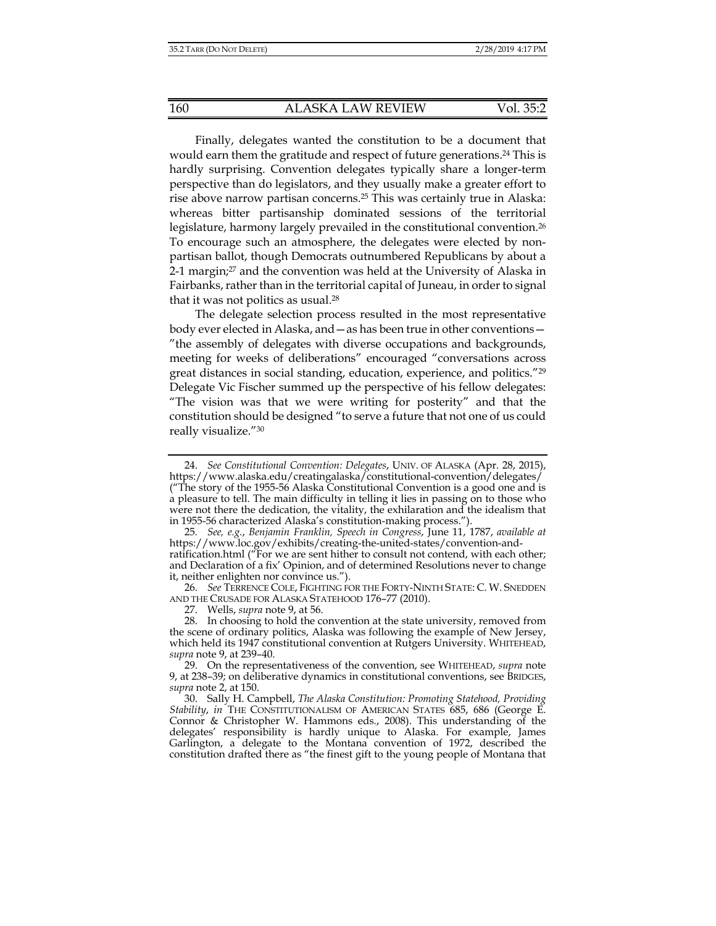Finally, delegates wanted the constitution to be a document that would earn them the gratitude and respect of future generations.24 This is hardly surprising. Convention delegates typically share a longer-term perspective than do legislators, and they usually make a greater effort to rise above narrow partisan concerns.25 This was certainly true in Alaska: whereas bitter partisanship dominated sessions of the territorial legislature, harmony largely prevailed in the constitutional convention.26 To encourage such an atmosphere, the delegates were elected by nonpartisan ballot, though Democrats outnumbered Republicans by about a 2-1 margin;27 and the convention was held at the University of Alaska in Fairbanks, rather than in the territorial capital of Juneau, in order to signal that it was not politics as usual.28

The delegate selection process resulted in the most representative body ever elected in Alaska, and—as has been true in other conventions— "the assembly of delegates with diverse occupations and backgrounds, meeting for weeks of deliberations" encouraged "conversations across great distances in social standing, education, experience, and politics."29 Delegate Vic Fischer summed up the perspective of his fellow delegates: "The vision was that we were writing for posterity" and that the constitution should be designed "to serve a future that not one of us could really visualize."30

 26. *See* TERRENCE COLE, FIGHTING FOR THE FORTY-NINTH STATE: C. W. SNEDDEN AND THE CRUSADE FOR ALASKA STATEHOOD 176–77 (2010).

27. Wells, *supra* note 9, at 56.

 <sup>24.</sup> *See Constitutional Convention: Delegates*, UNIV. OF ALASKA (Apr. 28, 2015), https://www.alaska.edu/creatingalaska/constitutional-convention/delegates/ ("The story of the 1955-56 Alaska Constitutional Convention is a good one and is a pleasure to tell. The main difficulty in telling it lies in passing on to those who were not there the dedication, the vitality, the exhilaration and the idealism that in 1955-56 characterized Alaska's constitution-making process.").

<sup>25</sup>*. See, e.g.*, *Benjamin Franklin, Speech in Congress*, June 11, 1787, *available at* https://www.loc.gov/exhibits/creating-the-united-states/convention-andratification.html ("For we are sent hither to consult not contend, with each other; and Declaration of a fix' Opinion, and of determined Resolutions never to change it, neither enlighten nor convince us.").

 <sup>28.</sup> In choosing to hold the convention at the state university, removed from the scene of ordinary politics, Alaska was following the example of New Jersey, which held its 1947 constitutional convention at Rutgers University. WHITEHEAD, *supra* note 9, at 239–40.

 <sup>29.</sup> On the representativeness of the convention, see WHITEHEAD, *supra* note 9, at 238–39; on deliberative dynamics in constitutional conventions, see BRIDGES, *supra* note 2, at 150.

 <sup>30.</sup> Sally H. Campbell, *The Alaska Constitution: Promoting Statehood, Providing Stability*, *in* THE CONSTITUTIONALISM OF AMERICAN STATES 685, 686 (George E. Connor & Christopher W. Hammons eds., 2008). This understanding of the delegates' responsibility is hardly unique to Alaska. For example, James Garlington, a delegate to the Montana convention of 1972, described the constitution drafted there as "the finest gift to the young people of Montana that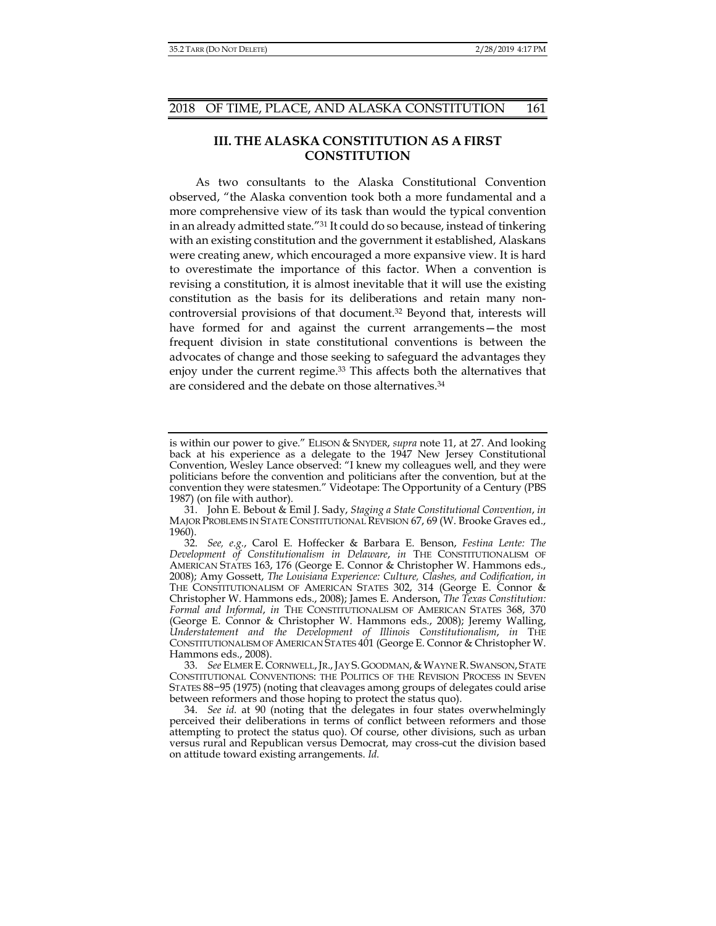## **III. THE ALASKA CONSTITUTION AS A FIRST CONSTITUTION**

As two consultants to the Alaska Constitutional Convention observed, "the Alaska convention took both a more fundamental and a more comprehensive view of its task than would the typical convention in an already admitted state."31 It could do so because, instead of tinkering with an existing constitution and the government it established, Alaskans were creating anew, which encouraged a more expansive view. It is hard to overestimate the importance of this factor. When a convention is revising a constitution, it is almost inevitable that it will use the existing constitution as the basis for its deliberations and retain many noncontroversial provisions of that document.32 Beyond that, interests will have formed for and against the current arrangements—the most frequent division in state constitutional conventions is between the advocates of change and those seeking to safeguard the advantages they enjoy under the current regime.33 This affects both the alternatives that are considered and the debate on those alternatives.34

33. See ELMER E. CORNWELL, JR., JAY S. GOODMAN, & WAYNE R. SWANSON, STATE CONSTITUTIONAL CONVENTIONS: THE POLITICS OF THE REVISION PROCESS IN SEVEN STATES 88−95 (1975) (noting that cleavages among groups of delegates could arise between reformers and those hoping to protect the status quo).

is within our power to give." ELISON & SNYDER, *supra* note 11, at 27. And looking back at his experience as a delegate to the 1947 New Jersey Constitutional Convention, Wesley Lance observed: "I knew my colleagues well, and they were politicians before the convention and politicians after the convention, but at the convention they were statesmen." Videotape: The Opportunity of a Century (PBS 1987) (on file with author).

 <sup>31.</sup> John E. Bebout & Emil J. Sady, *Staging a State Constitutional Convention*, *in*  MAJOR PROBLEMS IN STATE CONSTITUTIONAL REVISION 67, 69 (W. Brooke Graves ed., 1960).

 <sup>32.</sup> *See, e.g.*, Carol E. Hoffecker & Barbara E. Benson, *Festina Lente: The Development of Constitutionalism in Delaware*, *in* THE CONSTITUTIONALISM OF AMERICAN STATES 163, 176 (George E. Connor & Christopher W. Hammons eds., 2008); Amy Gossett, *The Louisiana Experience: Culture, Clashes, and Codification*, *in*  THE CONSTITUTIONALISM OF AMERICAN STATES 302, 314 (George E. Connor & Christopher W. Hammons eds., 2008); James E. Anderson, *The Texas Constitution: Formal and Informal*, *in* THE CONSTITUTIONALISM OF AMERICAN STATES 368, 370 (George E. Connor & Christopher W. Hammons eds., 2008); Jeremy Walling, *Understatement and the Development of Illinois Constitutionalism*, *in* THE CONSTITUTIONALISM OF AMERICAN STATES 401 (George E. Connor & Christopher W. Hammons eds., 2008).

 <sup>34.</sup> *See id.* at 90 (noting that the delegates in four states overwhelmingly perceived their deliberations in terms of conflict between reformers and those attempting to protect the status quo). Of course, other divisions, such as urban versus rural and Republican versus Democrat, may cross-cut the division based on attitude toward existing arrangements. *Id.*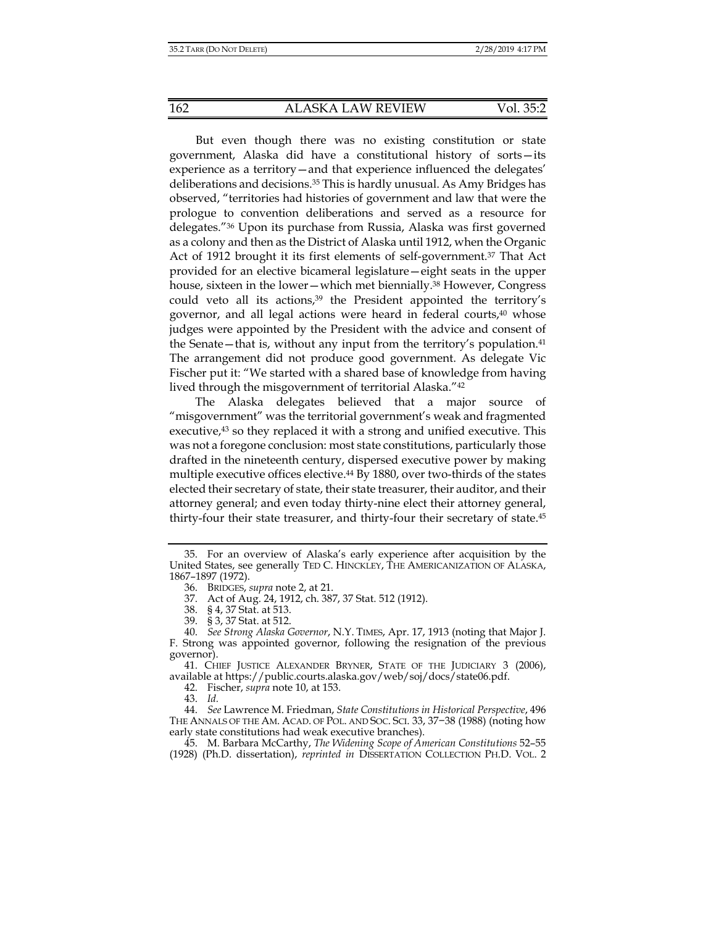But even though there was no existing constitution or state government, Alaska did have a constitutional history of sorts—its experience as a territory—and that experience influenced the delegates' deliberations and decisions.35 This is hardly unusual. As Amy Bridges has observed, "territories had histories of government and law that were the prologue to convention deliberations and served as a resource for delegates."36 Upon its purchase from Russia, Alaska was first governed as a colony and then as the District of Alaska until 1912, when the Organic Act of 1912 brought it its first elements of self-government.<sup>37</sup> That Act provided for an elective bicameral legislature—eight seats in the upper house, sixteen in the lower—which met biennially.<sup>38</sup> However, Congress could veto all its actions,<sup>39</sup> the President appointed the territory's governor, and all legal actions were heard in federal courts,<sup>40</sup> whose judges were appointed by the President with the advice and consent of the Senate—that is, without any input from the territory's population.41 The arrangement did not produce good government. As delegate Vic Fischer put it: "We started with a shared base of knowledge from having lived through the misgovernment of territorial Alaska."42

The Alaska delegates believed that a major source of "misgovernment" was the territorial government's weak and fragmented executive,<sup>43</sup> so they replaced it with a strong and unified executive. This was not a foregone conclusion: most state constitutions, particularly those drafted in the nineteenth century, dispersed executive power by making multiple executive offices elective.<sup>44</sup> By 1880, over two-thirds of the states elected their secretary of state, their state treasurer, their auditor, and their attorney general; and even today thirty-nine elect their attorney general, thirty-four their state treasurer, and thirty-four their secretary of state.45

 41. CHIEF JUSTICE ALEXANDER BRYNER, STATE OF THE JUDICIARY 3 (2006), available at https://public.courts.alaska.gov/web/soj/docs/state06.pdf.

42. Fischer, *supra* note 10, at 153.

43. *Id.*

 <sup>35.</sup> For an overview of Alaska's early experience after acquisition by the United States, see generally TED C. HINCKLEY, THE AMERICANIZATION OF ALASKA, 1867–1897 (1972).

 <sup>36.</sup> BRIDGES, *supra* note 2, at 21.

 <sup>37.</sup> Act of Aug. 24, 1912, ch. 387, 37 Stat. 512 (1912).

 <sup>38. § 4, 37</sup> Stat. at 513.

 <sup>39. § 3, 37</sup> Stat. at 512.

 <sup>40.</sup> *See Strong Alaska Governor*, N.Y. TIMES, Apr. 17, 1913 (noting that Major J. F. Strong was appointed governor, following the resignation of the previous governor).

 <sup>44.</sup> *See* Lawrence M. Friedman, *State Constitutions in Historical Perspective*, 496 THE ANNALS OF THE AM. ACAD. OF POL. AND SOC. SCI. 33, 37−38 (1988) (noting how early state constitutions had weak executive branches).

 <sup>45.</sup> M. Barbara McCarthy, *The Widening Scope of American Constitutions* 52–55 (1928) (Ph.D. dissertation), *reprinted in* DISSERTATION COLLECTION PH.D. VOL. 2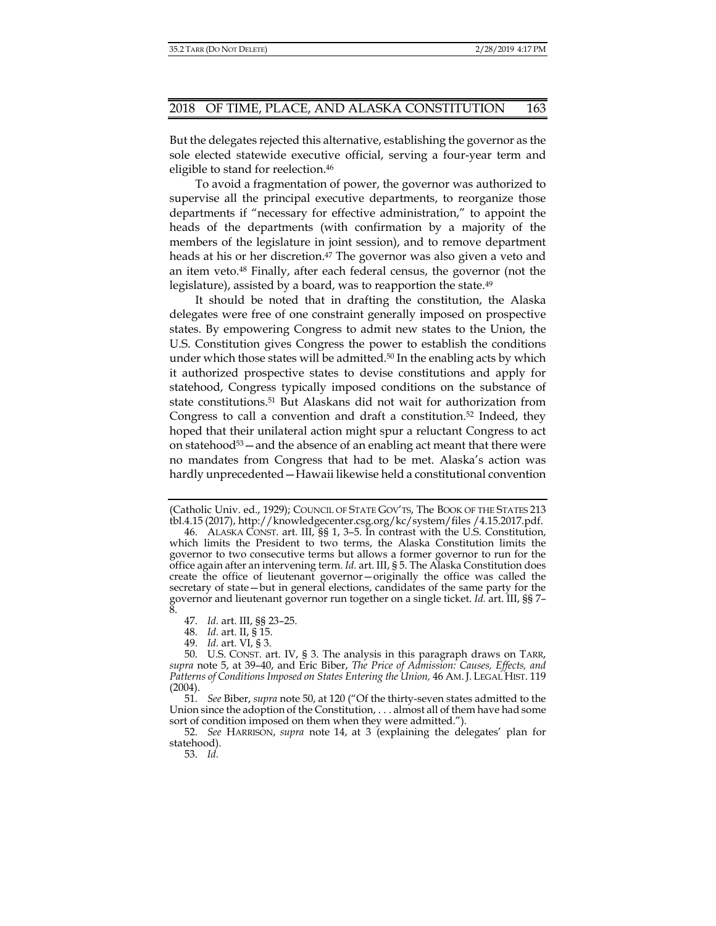But the delegates rejected this alternative, establishing the governor as the sole elected statewide executive official, serving a four-year term and eligible to stand for reelection.<sup>46</sup>

To avoid a fragmentation of power, the governor was authorized to supervise all the principal executive departments, to reorganize those departments if "necessary for effective administration," to appoint the heads of the departments (with confirmation by a majority of the members of the legislature in joint session), and to remove department heads at his or her discretion.<sup>47</sup> The governor was also given a veto and an item veto.48 Finally, after each federal census, the governor (not the legislature), assisted by a board, was to reapportion the state.<sup>49</sup>

It should be noted that in drafting the constitution, the Alaska delegates were free of one constraint generally imposed on prospective states. By empowering Congress to admit new states to the Union, the U.S. Constitution gives Congress the power to establish the conditions under which those states will be admitted.<sup>50</sup> In the enabling acts by which it authorized prospective states to devise constitutions and apply for statehood, Congress typically imposed conditions on the substance of state constitutions.51 But Alaskans did not wait for authorization from Congress to call a convention and draft a constitution.<sup>52</sup> Indeed, they hoped that their unilateral action might spur a reluctant Congress to act on statehood $53$  — and the absence of an enabling act meant that there were no mandates from Congress that had to be met. Alaska's action was hardly unprecedented—Hawaii likewise held a constitutional convention

<sup>(</sup>Catholic Univ. ed., 1929); COUNCIL OF STATE GOV'TS, The BOOK OF THE STATES 213 tbl.4.15 (2017), http://knowledgecenter.csg.org/kc/system/files /4.15.2017.pdf.

 <sup>46.</sup> ALASKA CONST. art. III, §§ 1, 3–5. In contrast with the U.S. Constitution, which limits the President to two terms, the Alaska Constitution limits the governor to two consecutive terms but allows a former governor to run for the office again after an intervening term. *Id.* art. III, § 5. The Alaska Constitution does create the office of lieutenant governor—originally the office was called the secretary of state—but in general elections, candidates of the same party for the governor and lieutenant governor run together on a single ticket. *Id.* art. III, §§ 7– 8.

 <sup>47.</sup> *Id.* art. III, §§ 23–25.

 <sup>48.</sup> *Id.* art. II, § 15.

 <sup>49.</sup> *Id.* art. VI, § 3.

 <sup>50.</sup> U.S. CONST. art. IV, § 3. The analysis in this paragraph draws on TARR, *supra* note 5, at 39–40, and Eric Biber, *The Price of Admission: Causes, Effects, and Patterns of Conditions Imposed on States Entering the Union,* 46 AM.J. LEGAL HIST. 119 (2004).

 <sup>51.</sup> *See* Biber, *supra* note 50, at 120 ("Of the thirty-seven states admitted to the Union since the adoption of the Constitution, . . . almost all of them have had some sort of condition imposed on them when they were admitted.").

 <sup>52.</sup> *See* HARRISON, *supra* note 14, at 3 (explaining the delegates' plan for statehood).

 <sup>53.</sup> *Id.*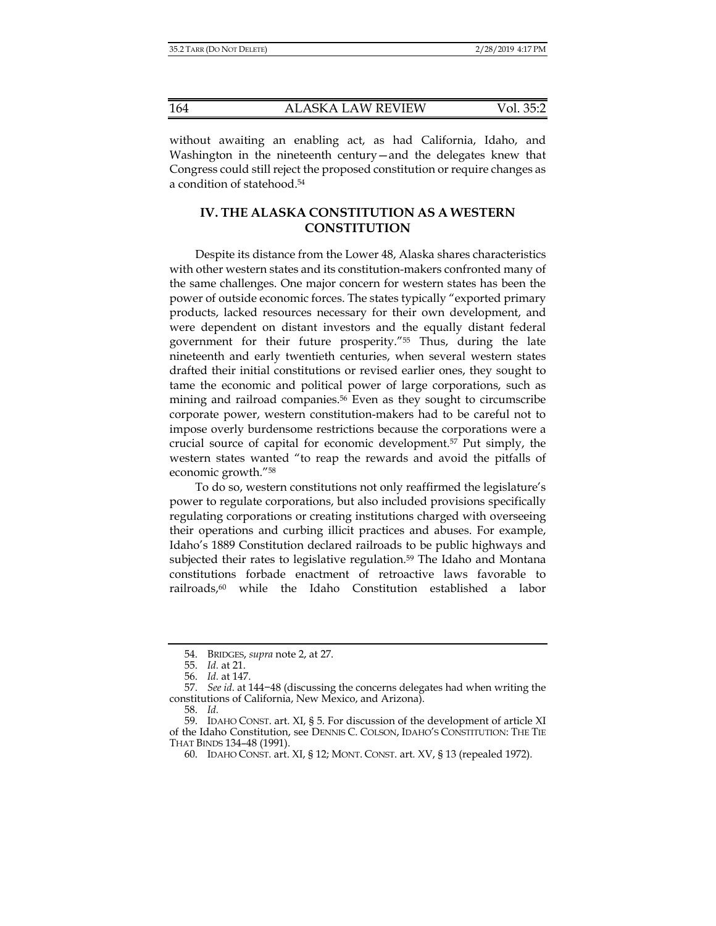without awaiting an enabling act, as had California, Idaho, and Washington in the nineteenth century—and the delegates knew that Congress could still reject the proposed constitution or require changes as a condition of statehood.54

## **IV. THE ALASKA CONSTITUTION AS A WESTERN CONSTITUTION**

Despite its distance from the Lower 48, Alaska shares characteristics with other western states and its constitution-makers confronted many of the same challenges. One major concern for western states has been the power of outside economic forces. The states typically "exported primary products, lacked resources necessary for their own development, and were dependent on distant investors and the equally distant federal government for their future prosperity."55 Thus, during the late nineteenth and early twentieth centuries, when several western states drafted their initial constitutions or revised earlier ones, they sought to tame the economic and political power of large corporations, such as mining and railroad companies.56 Even as they sought to circumscribe corporate power, western constitution-makers had to be careful not to impose overly burdensome restrictions because the corporations were a crucial source of capital for economic development.57 Put simply, the western states wanted "to reap the rewards and avoid the pitfalls of economic growth."58

To do so, western constitutions not only reaffirmed the legislature's power to regulate corporations, but also included provisions specifically regulating corporations or creating institutions charged with overseeing their operations and curbing illicit practices and abuses. For example, Idaho's 1889 Constitution declared railroads to be public highways and subjected their rates to legislative regulation.<sup>59</sup> The Idaho and Montana constitutions forbade enactment of retroactive laws favorable to railroads,60 while the Idaho Constitution established a labor

 <sup>54.</sup> BRIDGES, *supra* note 2, at 27.

 <sup>55.</sup> *Id.* at 21.

 <sup>56.</sup> *Id.* at 147.

 <sup>57.</sup> *See id*. at 144−48 (discussing the concerns delegates had when writing the constitutions of California, New Mexico, and Arizona).

 <sup>58.</sup> *Id.*

 <sup>59.</sup> IDAHO CONST. art. XI, § 5. For discussion of the development of article XI of the Idaho Constitution, see DENNIS C. COLSON, IDAHO'S CONSTITUTION: THE TIE THAT BINDS 134–48 (1991).

 <sup>60.</sup> IDAHO CONST. art. XI, § 12; MONT. CONST. art. XV, § 13 (repealed 1972).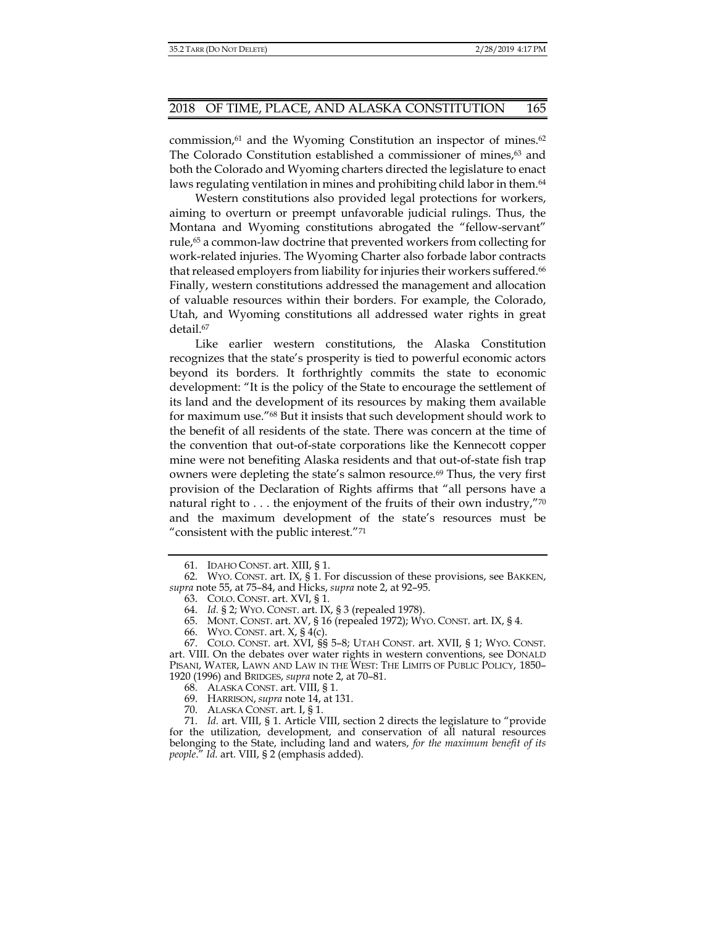commission, $61$  and the Wyoming Constitution an inspector of mines. $62$ The Colorado Constitution established a commissioner of mines, $63$  and both the Colorado and Wyoming charters directed the legislature to enact laws regulating ventilation in mines and prohibiting child labor in them.<sup>64</sup>

Western constitutions also provided legal protections for workers, aiming to overturn or preempt unfavorable judicial rulings. Thus, the Montana and Wyoming constitutions abrogated the "fellow-servant" rule,<sup>65</sup> a common-law doctrine that prevented workers from collecting for work-related injuries. The Wyoming Charter also forbade labor contracts that released employers from liability for injuries their workers suffered.<sup>66</sup> Finally, western constitutions addressed the management and allocation of valuable resources within their borders. For example, the Colorado, Utah, and Wyoming constitutions all addressed water rights in great detail.<sup>67</sup>

Like earlier western constitutions, the Alaska Constitution recognizes that the state's prosperity is tied to powerful economic actors beyond its borders. It forthrightly commits the state to economic development: "It is the policy of the State to encourage the settlement of its land and the development of its resources by making them available for maximum use."68 But it insists that such development should work to the benefit of all residents of the state. There was concern at the time of the convention that out-of-state corporations like the Kennecott copper mine were not benefiting Alaska residents and that out-of-state fish trap owners were depleting the state's salmon resource.<sup>69</sup> Thus, the very first provision of the Declaration of Rights affirms that "all persons have a natural right to  $\dots$  the enjoyment of the fruits of their own industry,"70 and the maximum development of the state's resources must be "consistent with the public interest."71

 <sup>61.</sup> IDAHO CONST. art. XIII, § 1.

 <sup>62.</sup> WYO. CONST. art. IX, § 1. For discussion of these provisions, see BAKKEN, *supra* note 55, at 75–84, and Hicks, *supra* note 2, at 92–95.

 <sup>63.</sup> COLO. CONST. art. XVI, § 1.

 <sup>64.</sup> *Id.* § 2; WYO. CONST. art. IX, § 3 (repealed 1978).

 <sup>65.</sup> MONT. CONST. art. XV, § 16 (repealed 1972); WYO. CONST. art. IX, § 4.

 <sup>66.</sup> WYO. CONST. art. X, § 4(c).

 <sup>67.</sup> COLO. CONST. art. XVI, §§ 5–8; UTAH CONST. art. XVII, § 1; WYO. CONST. art. VIII. On the debates over water rights in western conventions, see DONALD PISANI, WATER, LAWN AND LAW IN THE WEST: THE LIMITS OF PUBLIC POLICY, 1850– 1920 (1996) and BRIDGES, *supra* note 2, at 70–81.

 <sup>68.</sup> ALASKA CONST. art. VIII, § 1.

 <sup>69.</sup> HARRISON, *supra* note 14, at 131.

 <sup>70.</sup> ALASKA CONST. art. I, § 1.

 <sup>71.</sup> *Id.* art. VIII, § 1. Article VIII, section 2 directs the legislature to "provide for the utilization, development, and conservation of all natural resources belonging to the State, including land and waters, *for the maximum benefit of its people*." *Id.* art. VIII, § 2 (emphasis added).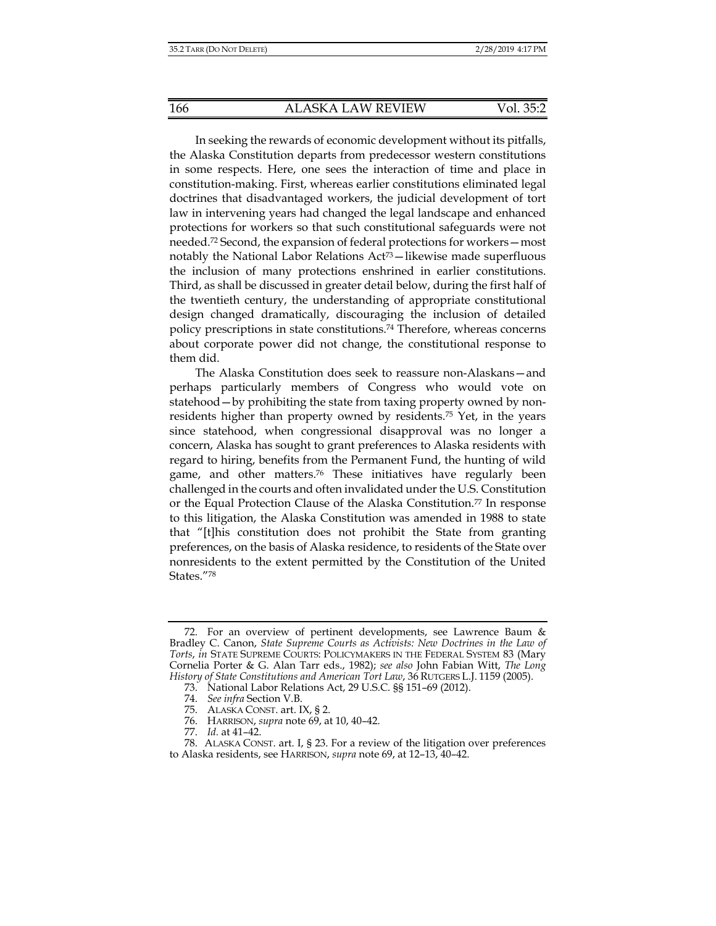In seeking the rewards of economic development without its pitfalls, the Alaska Constitution departs from predecessor western constitutions in some respects. Here, one sees the interaction of time and place in constitution-making. First, whereas earlier constitutions eliminated legal doctrines that disadvantaged workers, the judicial development of tort law in intervening years had changed the legal landscape and enhanced protections for workers so that such constitutional safeguards were not needed.72 Second, the expansion of federal protections for workers—most notably the National Labor Relations Act<sup>73</sup>—likewise made superfluous the inclusion of many protections enshrined in earlier constitutions. Third, as shall be discussed in greater detail below, during the first half of the twentieth century, the understanding of appropriate constitutional design changed dramatically, discouraging the inclusion of detailed policy prescriptions in state constitutions.74 Therefore, whereas concerns about corporate power did not change, the constitutional response to them did.

The Alaska Constitution does seek to reassure non-Alaskans—and perhaps particularly members of Congress who would vote on statehood—by prohibiting the state from taxing property owned by nonresidents higher than property owned by residents.75 Yet, in the years since statehood, when congressional disapproval was no longer a concern, Alaska has sought to grant preferences to Alaska residents with regard to hiring, benefits from the Permanent Fund, the hunting of wild game, and other matters.76 These initiatives have regularly been challenged in the courts and often invalidated under the U.S. Constitution or the Equal Protection Clause of the Alaska Constitution.<sup>77</sup> In response to this litigation, the Alaska Constitution was amended in 1988 to state that "[t]his constitution does not prohibit the State from granting preferences, on the basis of Alaska residence, to residents of the State over nonresidents to the extent permitted by the Constitution of the United States."78

 <sup>72.</sup> For an overview of pertinent developments, see Lawrence Baum & Bradley C. Canon, *State Supreme Courts as Activists: New Doctrines in the Law of Torts*, *in* STATE SUPREME COURTS: POLICYMAKERS IN THE FEDERAL SYSTEM 83 (Mary Cornelia Porter & G. Alan Tarr eds., 1982); *see also* John Fabian Witt, *The Long History of State Constitutions and American Tort Law*, 36 RUTGERS L.J. 1159 (2005).

 <sup>73.</sup> National Labor Relations Act, 29 U.S.C. §§ 151–69 (2012).

 <sup>74.</sup> *See infra* Section V.B.

 <sup>75.</sup> ALASKA CONST. art. IX, § 2.

 <sup>76.</sup> HARRISON, *supra* note 69, at 10, 40–42.

 <sup>77.</sup> *Id.* at 41–42.

 <sup>78.</sup> ALASKA CONST. art. I, § 23. For a review of the litigation over preferences to Alaska residents, see HARRISON, *supra* note 69, at 12–13, 40–42.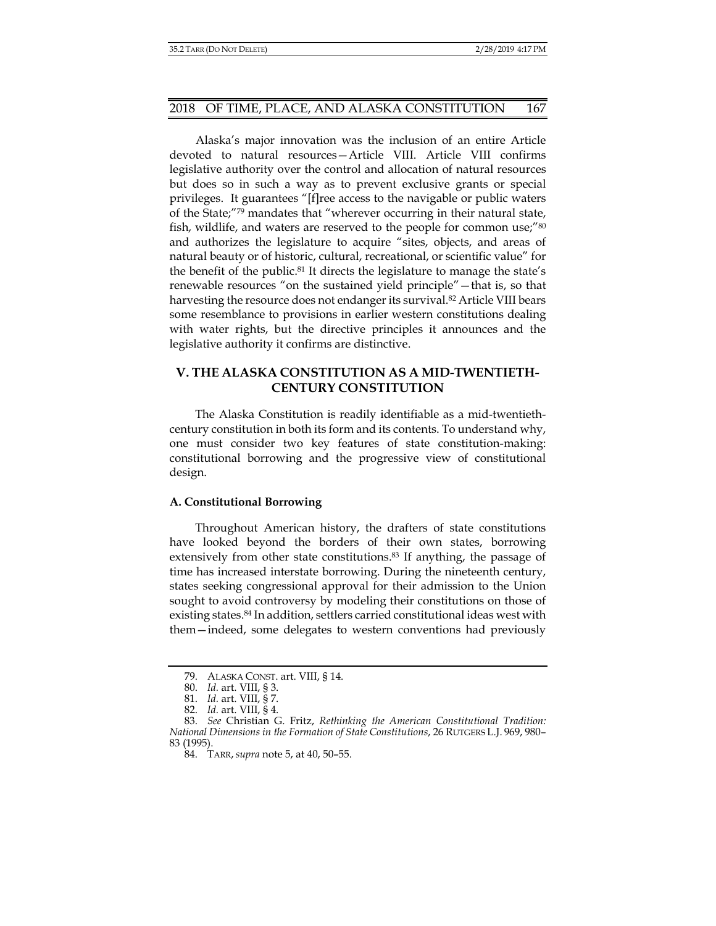Alaska's major innovation was the inclusion of an entire Article devoted to natural resources—Article VIII. Article VIII confirms legislative authority over the control and allocation of natural resources but does so in such a way as to prevent exclusive grants or special privileges. It guarantees "[f]ree access to the navigable or public waters of the State;"79 mandates that "wherever occurring in their natural state, fish, wildlife, and waters are reserved to the people for common use;"<sup>80</sup> and authorizes the legislature to acquire "sites, objects, and areas of natural beauty or of historic, cultural, recreational, or scientific value" for the benefit of the public.<sup>81</sup> It directs the legislature to manage the state's renewable resources "on the sustained yield principle"—that is, so that harvesting the resource does not endanger its survival.<sup>82</sup> Article VIII bears some resemblance to provisions in earlier western constitutions dealing with water rights, but the directive principles it announces and the legislative authority it confirms are distinctive.

## **V. THE ALASKA CONSTITUTION AS A MID-TWENTIETH-CENTURY CONSTITUTION**

The Alaska Constitution is readily identifiable as a mid-twentiethcentury constitution in both its form and its contents. To understand why, one must consider two key features of state constitution-making: constitutional borrowing and the progressive view of constitutional design.

### **A. Constitutional Borrowing**

Throughout American history, the drafters of state constitutions have looked beyond the borders of their own states, borrowing extensively from other state constitutions.<sup>83</sup> If anything, the passage of time has increased interstate borrowing. During the nineteenth century, states seeking congressional approval for their admission to the Union sought to avoid controversy by modeling their constitutions on those of existing states.84 In addition, settlers carried constitutional ideas west with them—indeed, some delegates to western conventions had previously

 <sup>79.</sup> ALASKA CONST. art. VIII, § 14.

 <sup>80.</sup> *Id.* art. VIII, § 3.

 <sup>81.</sup> *Id.* art. VIII, § 7.

 <sup>82.</sup> *Id.* art. VIII, § 4.

 <sup>83.</sup> *See* Christian G. Fritz, *Rethinking the American Constitutional Tradition: National Dimensions in the Formation of State Constitutions*, 26 RUTGERS L.J. 969, 980– 83 (1995).

 <sup>84.</sup> TARR, *supra* note 5, at 40, 50–55.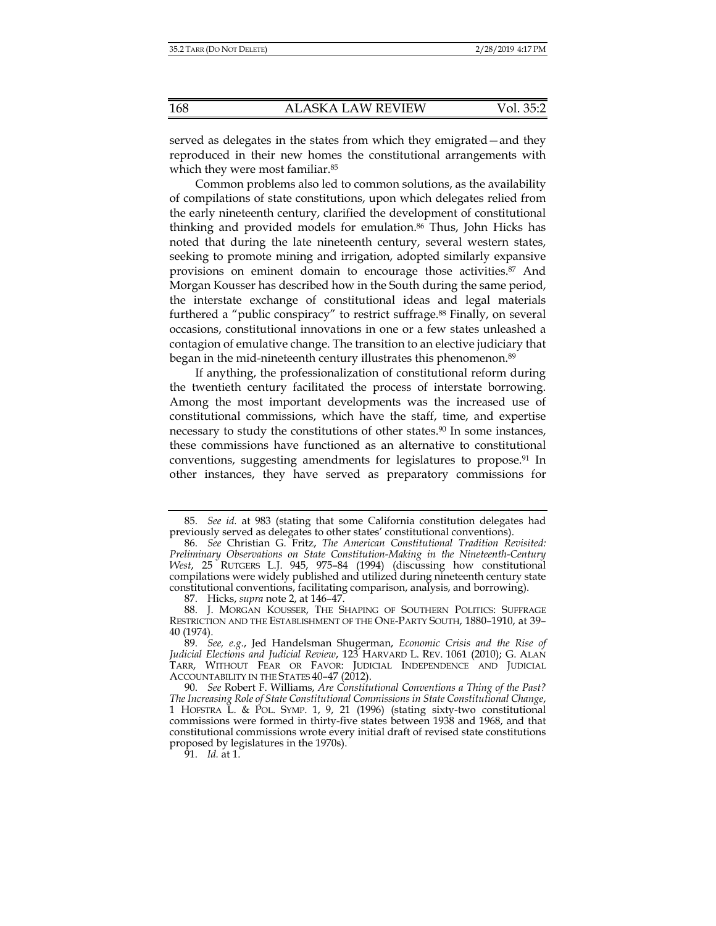served as delegates in the states from which they emigrated—and they reproduced in their new homes the constitutional arrangements with which they were most familiar.<sup>85</sup>

Common problems also led to common solutions, as the availability of compilations of state constitutions, upon which delegates relied from the early nineteenth century, clarified the development of constitutional thinking and provided models for emulation.86 Thus, John Hicks has noted that during the late nineteenth century, several western states, seeking to promote mining and irrigation, adopted similarly expansive provisions on eminent domain to encourage those activities.87 And Morgan Kousser has described how in the South during the same period, the interstate exchange of constitutional ideas and legal materials furthered a "public conspiracy" to restrict suffrage.<sup>88</sup> Finally, on several occasions, constitutional innovations in one or a few states unleashed a contagion of emulative change. The transition to an elective judiciary that began in the mid-nineteenth century illustrates this phenomenon.<sup>89</sup>

If anything, the professionalization of constitutional reform during the twentieth century facilitated the process of interstate borrowing. Among the most important developments was the increased use of constitutional commissions, which have the staff, time, and expertise necessary to study the constitutions of other states.<sup>90</sup> In some instances, these commissions have functioned as an alternative to constitutional conventions, suggesting amendments for legislatures to propose.<sup>91</sup> In other instances, they have served as preparatory commissions for

 <sup>85.</sup> *See id.* at 983 (stating that some California constitution delegates had previously served as delegates to other states' constitutional conventions).

 <sup>86.</sup> *See* Christian G. Fritz, *The American Constitutional Tradition Revisited: Preliminary Observations on State Constitution-Making in the Nineteenth-Century West*, 25 RUTGERS L.J. 945, 975–84 (1994) (discussing how constitutional compilations were widely published and utilized during nineteenth century state constitutional conventions, facilitating comparison, analysis, and borrowing).

 <sup>87.</sup> Hicks, *supra* note 2, at 146–47.

 <sup>88.</sup> J. MORGAN KOUSSER, THE SHAPING OF SOUTHERN POLITICS: SUFFRAGE RESTRICTION AND THE ESTABLISHMENT OF THE ONE-PARTY SOUTH, 1880–1910, at 39– 40 (1974).

 <sup>89.</sup> *See, e.g.*, Jed Handelsman Shugerman, *Economic Crisis and the Rise of Judicial Elections and Judicial Review*, 123 HARVARD L. REV. 1061 (2010); G. ALAN TARR, WITHOUT FEAR OR FAVOR: JUDICIAL INDEPENDENCE AND JUDICIAL ACCOUNTABILITY IN THE STATES 40–47 (2012).

 <sup>90.</sup> *See* Robert F. Williams, *Are Constitutional Conventions a Thing of the Past? The Increasing Role of State Constitutional Commissions in State Constitutional Change*, 1 HOFSTRA L. & POL. SYMP. 1, 9, 21 (1996) (stating sixty-two constitutional commissions were formed in thirty-five states between 1938 and 1968, and that constitutional commissions wrote every initial draft of revised state constitutions proposed by legislatures in the 1970s).

 <sup>91.</sup> *Id.* at 1.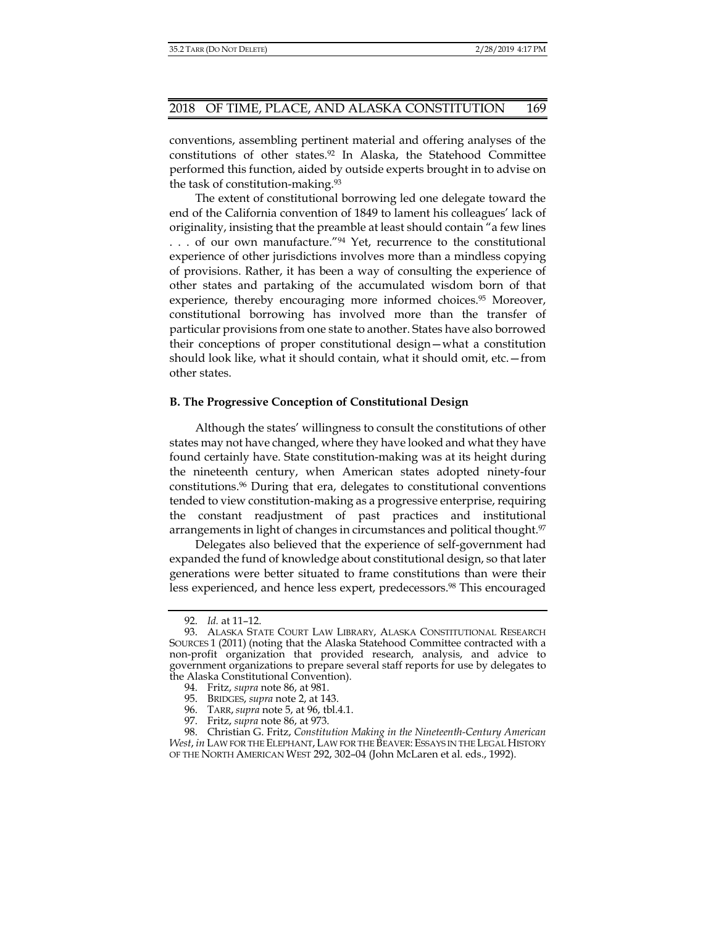conventions, assembling pertinent material and offering analyses of the constitutions of other states.92 In Alaska, the Statehood Committee performed this function, aided by outside experts brought in to advise on the task of constitution-making.93

The extent of constitutional borrowing led one delegate toward the end of the California convention of 1849 to lament his colleagues' lack of originality, insisting that the preamble at least should contain "a few lines ... of our own manufacture.<sup>"94</sup> Yet, recurrence to the constitutional experience of other jurisdictions involves more than a mindless copying of provisions. Rather, it has been a way of consulting the experience of other states and partaking of the accumulated wisdom born of that experience, thereby encouraging more informed choices.95 Moreover, constitutional borrowing has involved more than the transfer of particular provisions from one state to another. States have also borrowed their conceptions of proper constitutional design—what a constitution should look like, what it should contain, what it should omit, etc.—from other states.

#### **B. The Progressive Conception of Constitutional Design**

Although the states' willingness to consult the constitutions of other states may not have changed, where they have looked and what they have found certainly have. State constitution-making was at its height during the nineteenth century, when American states adopted ninety-four constitutions.96 During that era, delegates to constitutional conventions tended to view constitution-making as a progressive enterprise, requiring the constant readjustment of past practices and institutional arrangements in light of changes in circumstances and political thought.<sup>97</sup>

Delegates also believed that the experience of self-government had expanded the fund of knowledge about constitutional design, so that later generations were better situated to frame constitutions than were their less experienced, and hence less expert, predecessors.98 This encouraged

 <sup>92.</sup> *Id.* at 11–12.

 <sup>93.</sup> ALASKA STATE COURT LAW LIBRARY, ALASKA CONSTITUTIONAL RESEARCH SOURCES 1 (2011) (noting that the Alaska Statehood Committee contracted with a non-profit organization that provided research, analysis, and advice to government organizations to prepare several staff reports for use by delegates to the Alaska Constitutional Convention).

 <sup>94.</sup> Fritz, *supra* note 86, at 981.

 <sup>95.</sup> BRIDGES, *supra* note 2, at 143.

 <sup>96.</sup> TARR, *supra* note 5, at 96, tbl.4.1.

 <sup>97.</sup> Fritz, *supra* note 86, at 973.

 <sup>98.</sup> Christian G. Fritz, *Constitution Making in the Nineteenth-Century American West*, *in* LAW FOR THE ELEPHANT, LAW FOR THE BEAVER: ESSAYS IN THE LEGAL HISTORY OF THE NORTH AMERICAN WEST 292, 302–04 (John McLaren et al. eds., 1992).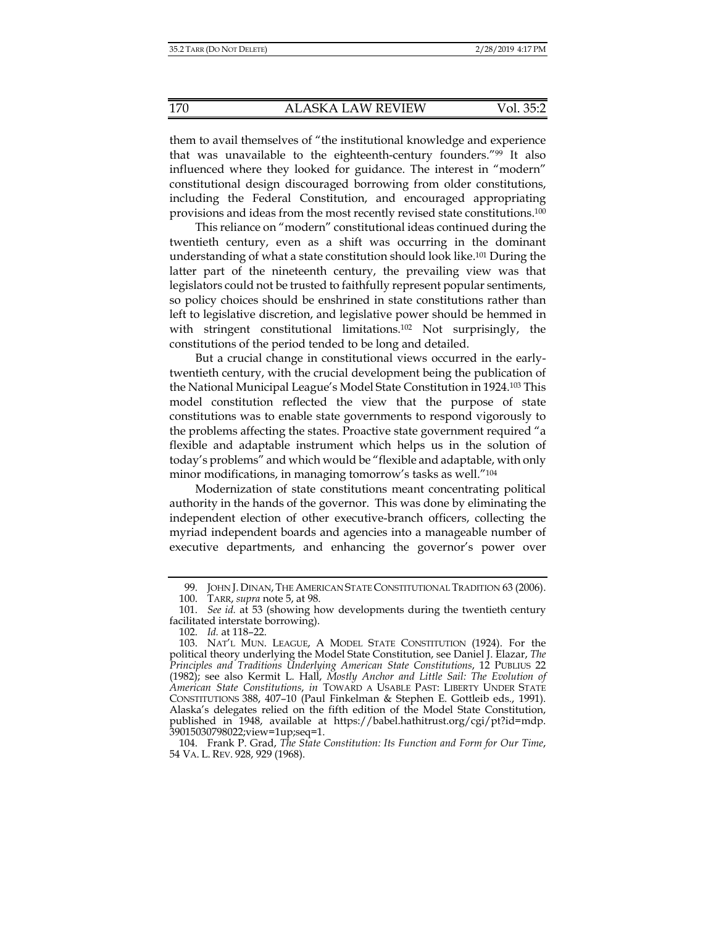them to avail themselves of "the institutional knowledge and experience that was unavailable to the eighteenth-century founders."99 It also influenced where they looked for guidance. The interest in "modern" constitutional design discouraged borrowing from older constitutions, including the Federal Constitution, and encouraged appropriating provisions and ideas from the most recently revised state constitutions.100

This reliance on "modern" constitutional ideas continued during the twentieth century, even as a shift was occurring in the dominant understanding of what a state constitution should look like.101 During the latter part of the nineteenth century, the prevailing view was that legislators could not be trusted to faithfully represent popular sentiments, so policy choices should be enshrined in state constitutions rather than left to legislative discretion, and legislative power should be hemmed in with stringent constitutional limitations.102 Not surprisingly, the constitutions of the period tended to be long and detailed.

But a crucial change in constitutional views occurred in the earlytwentieth century, with the crucial development being the publication of the National Municipal League's Model State Constitution in 1924.103 This model constitution reflected the view that the purpose of state constitutions was to enable state governments to respond vigorously to the problems affecting the states. Proactive state government required "a flexible and adaptable instrument which helps us in the solution of today's problems" and which would be "flexible and adaptable, with only minor modifications, in managing tomorrow's tasks as well."104

Modernization of state constitutions meant concentrating political authority in the hands of the governor. This was done by eliminating the independent election of other executive-branch officers, collecting the myriad independent boards and agencies into a manageable number of executive departments, and enhancing the governor's power over

 <sup>99.</sup> JOHN J. DINAN, THE AMERICAN STATE CONSTITUTIONAL TRADITION 63 (2006).

 <sup>100.</sup> TARR, *supra* note 5, at 98.

 <sup>101.</sup> *See id.* at 53 (showing how developments during the twentieth century facilitated interstate borrowing).

 <sup>102.</sup> *Id.* at 118–22.

 <sup>103.</sup> NAT'L MUN. LEAGUE, A MODEL STATE CONSTITUTION (1924). For the political theory underlying the Model State Constitution, see Daniel J. Elazar, *The Principles and Traditions Underlying American State Constitutions*, 12 PUBLIUS 22 (1982); see also Kermit L. Hall, *Mostly Anchor and Little Sail: The Evolution of American State Constitutions*, *in* TOWARD A USABLE PAST: LIBERTY UNDER STATE CONSTITUTIONS 388, 407–10 (Paul Finkelman & Stephen E. Gottleib eds., 1991). Alaska's delegates relied on the fifth edition of the Model State Constitution, published in 1948, available at https://babel.hathitrust.org/cgi/pt?id=mdp. 39015030798022;view=1up;seq=1.

 <sup>104.</sup> Frank P. Grad, *The State Constitution: Its Function and Form for Our Time*, 54 VA. L. REV. 928, 929 (1968).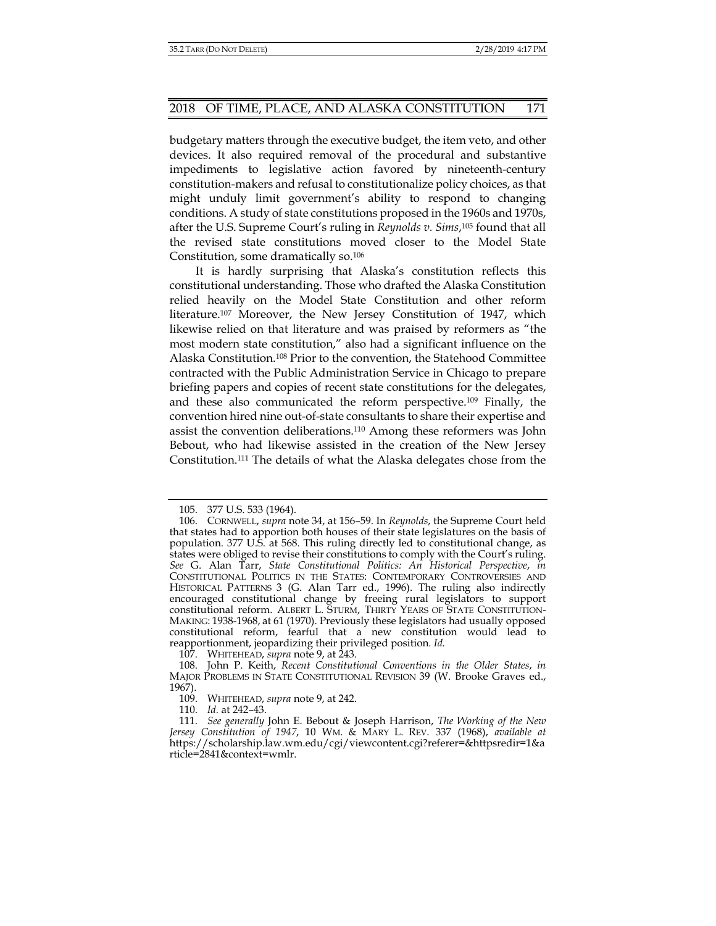budgetary matters through the executive budget, the item veto, and other devices. It also required removal of the procedural and substantive impediments to legislative action favored by nineteenth-century constitution-makers and refusal to constitutionalize policy choices, as that might unduly limit government's ability to respond to changing conditions. A study of state constitutions proposed in the 1960s and 1970s, after the U.S. Supreme Court's ruling in *Reynolds v. Sims*, 105 found that all the revised state constitutions moved closer to the Model State Constitution, some dramatically so.106

It is hardly surprising that Alaska's constitution reflects this constitutional understanding. Those who drafted the Alaska Constitution relied heavily on the Model State Constitution and other reform literature.107 Moreover, the New Jersey Constitution of 1947, which likewise relied on that literature and was praised by reformers as "the most modern state constitution," also had a significant influence on the Alaska Constitution.108 Prior to the convention, the Statehood Committee contracted with the Public Administration Service in Chicago to prepare briefing papers and copies of recent state constitutions for the delegates, and these also communicated the reform perspective.109 Finally, the convention hired nine out-of-state consultants to share their expertise and assist the convention deliberations.110 Among these reformers was John Bebout, who had likewise assisted in the creation of the New Jersey Constitution.111 The details of what the Alaska delegates chose from the

107. WHITEHEAD, *supra* note 9, at 243.

109. WHITEHEAD, *supra* note 9, at 242.

110. *Id.* at 242–43.

 <sup>105. 377</sup> U.S. 533 (1964).

 <sup>106.</sup> CORNWELL, *supra* note 34, at 156–59. In *Reynolds*, the Supreme Court held that states had to apportion both houses of their state legislatures on the basis of population. 377 U.S. at 568. This ruling directly led to constitutional change, as states were obliged to revise their constitutions to comply with the Court's ruling. *See* G. Alan Tarr, *State Constitutional Politics: An Historical Perspective*, *in* CONSTITUTIONAL POLITICS IN THE STATES: CONTEMPORARY CONTROVERSIES AND HISTORICAL PATTERNS 3 (G. Alan Tarr ed., 1996). The ruling also indirectly encouraged constitutional change by freeing rural legislators to support constitutional reform. ALBERT L. STURM, THIRTY YEARS OF STATE CONSTITUTION-MAKING: 1938-1968, at 61 (1970). Previously these legislators had usually opposed constitutional reform, fearful that a new constitution would lead to reapportionment, jeopardizing their privileged position. *Id.*

 <sup>108.</sup> John P. Keith, *Recent Constitutional Conventions in the Older States*, *in* MAJOR PROBLEMS IN STATE CONSTITUTIONAL REVISION 39 (W. Brooke Graves ed., 1967).

 <sup>111.</sup> *See generally* John E. Bebout & Joseph Harrison, *The Working of the New Jersey Constitution of 1947*, 10 WM. & MARY L. REV. 337 (1968), *available at* https://scholarship.law.wm.edu/cgi/viewcontent.cgi?referer=&httpsredir=1&a rticle=2841&context=wmlr.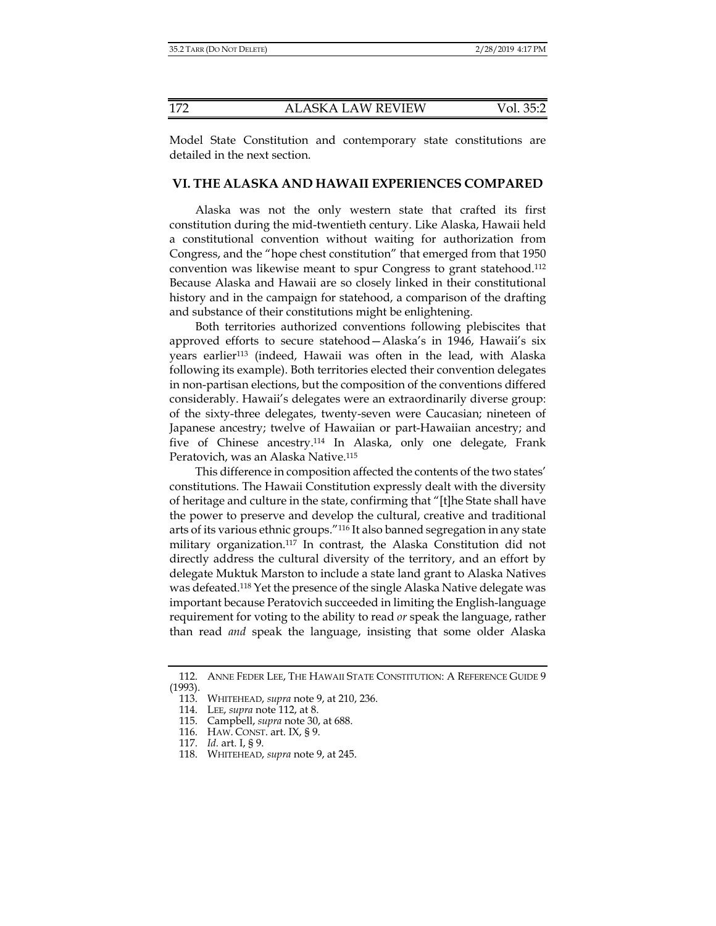Model State Constitution and contemporary state constitutions are detailed in the next section.

#### **VI. THE ALASKA AND HAWAII EXPERIENCES COMPARED**

Alaska was not the only western state that crafted its first constitution during the mid-twentieth century. Like Alaska, Hawaii held a constitutional convention without waiting for authorization from Congress, and the "hope chest constitution" that emerged from that 1950 convention was likewise meant to spur Congress to grant statehood.112 Because Alaska and Hawaii are so closely linked in their constitutional history and in the campaign for statehood, a comparison of the drafting and substance of their constitutions might be enlightening.

Both territories authorized conventions following plebiscites that approved efforts to secure statehood—Alaska's in 1946, Hawaii's six years earlier113 (indeed, Hawaii was often in the lead, with Alaska following its example). Both territories elected their convention delegates in non-partisan elections, but the composition of the conventions differed considerably. Hawaii's delegates were an extraordinarily diverse group: of the sixty-three delegates, twenty-seven were Caucasian; nineteen of Japanese ancestry; twelve of Hawaiian or part-Hawaiian ancestry; and five of Chinese ancestry.114 In Alaska, only one delegate, Frank Peratovich, was an Alaska Native.115

This difference in composition affected the contents of the two states' constitutions. The Hawaii Constitution expressly dealt with the diversity of heritage and culture in the state, confirming that "[t]he State shall have the power to preserve and develop the cultural, creative and traditional arts of its various ethnic groups."116 It also banned segregation in any state military organization.117 In contrast, the Alaska Constitution did not directly address the cultural diversity of the territory, and an effort by delegate Muktuk Marston to include a state land grant to Alaska Natives was defeated.118 Yet the presence of the single Alaska Native delegate was important because Peratovich succeeded in limiting the English-language requirement for voting to the ability to read *or* speak the language, rather than read *and* speak the language, insisting that some older Alaska

 <sup>112.</sup> ANNE FEDER LEE, THE HAWAII STATE CONSTITUTION: A REFERENCE GUIDE 9 (1993).

 <sup>113.</sup> WHITEHEAD, *supra* note 9, at 210, 236.

 <sup>114.</sup> LEE, *supra* note 112, at 8.

 <sup>115.</sup> Campbell, *supra* note 30, at 688.

 <sup>116.</sup> HAW. CONST. art. IX, § 9.

 <sup>117.</sup> *Id.* art. I, § 9.

 <sup>118.</sup> WHITEHEAD, *supra* note 9, at 245.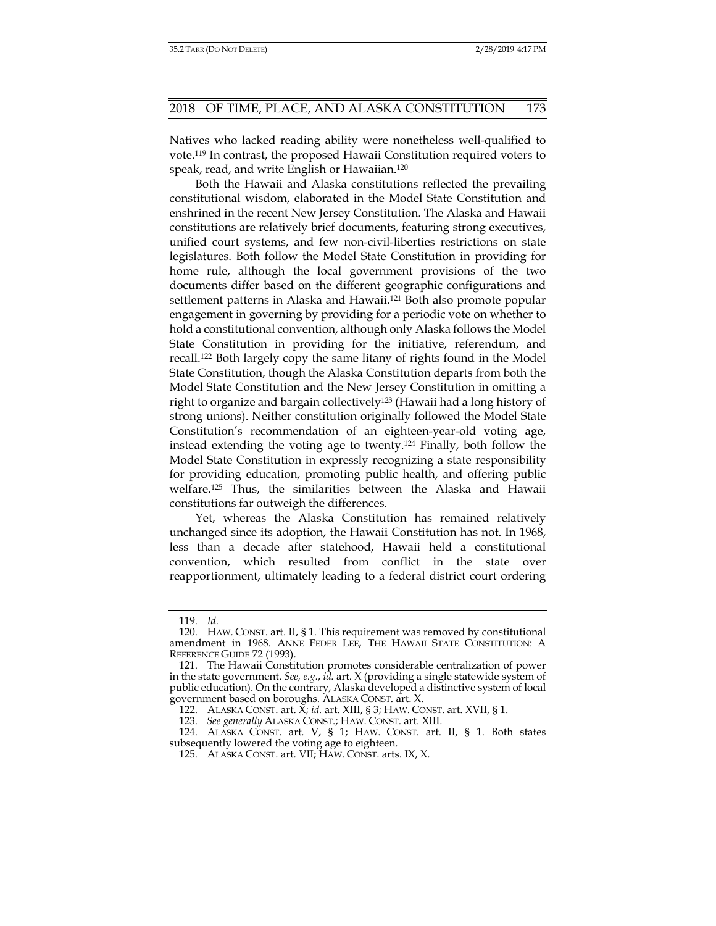Natives who lacked reading ability were nonetheless well-qualified to vote.119 In contrast, the proposed Hawaii Constitution required voters to speak, read, and write English or Hawaiian.120

Both the Hawaii and Alaska constitutions reflected the prevailing constitutional wisdom, elaborated in the Model State Constitution and enshrined in the recent New Jersey Constitution. The Alaska and Hawaii constitutions are relatively brief documents, featuring strong executives, unified court systems, and few non-civil-liberties restrictions on state legislatures. Both follow the Model State Constitution in providing for home rule, although the local government provisions of the two documents differ based on the different geographic configurations and settlement patterns in Alaska and Hawaii.121 Both also promote popular engagement in governing by providing for a periodic vote on whether to hold a constitutional convention, although only Alaska follows the Model State Constitution in providing for the initiative, referendum, and recall.122 Both largely copy the same litany of rights found in the Model State Constitution, though the Alaska Constitution departs from both the Model State Constitution and the New Jersey Constitution in omitting a right to organize and bargain collectively123 (Hawaii had a long history of strong unions). Neither constitution originally followed the Model State Constitution's recommendation of an eighteen-year-old voting age, instead extending the voting age to twenty.124 Finally, both follow the Model State Constitution in expressly recognizing a state responsibility for providing education, promoting public health, and offering public welfare.125 Thus, the similarities between the Alaska and Hawaii constitutions far outweigh the differences.

Yet, whereas the Alaska Constitution has remained relatively unchanged since its adoption, the Hawaii Constitution has not. In 1968, less than a decade after statehood, Hawaii held a constitutional convention, which resulted from conflict in the state over reapportionment, ultimately leading to a federal district court ordering

 <sup>119.</sup> *Id.*

 <sup>120.</sup> HAW. CONST. art. II, § 1. This requirement was removed by constitutional amendment in 1968. ANNE FEDER LEE, THE HAWAII STATE CONSTITUTION: A REFERENCE GUIDE 72 (1993).

 <sup>121.</sup> The Hawaii Constitution promotes considerable centralization of power in the state government. *See, e.g.*, *id.* art. X (providing a single statewide system of public education). On the contrary, Alaska developed a distinctive system of local government based on boroughs. ALASKA CONST. art. X.

 <sup>122.</sup> ALASKA CONST. art. X; *id.* art. XIII, § 3; HAW. CONST. art. XVII, § 1.

 <sup>123.</sup> *See generally* ALASKA CONST.; HAW. CONST. art. XIII.

 <sup>124.</sup> ALASKA CONST. art. V, § 1; HAW. CONST. art. II, § 1. Both states subsequently lowered the voting age to eighteen.

 <sup>125.</sup> ALASKA CONST. art. VII; HAW. CONST. arts. IX, X.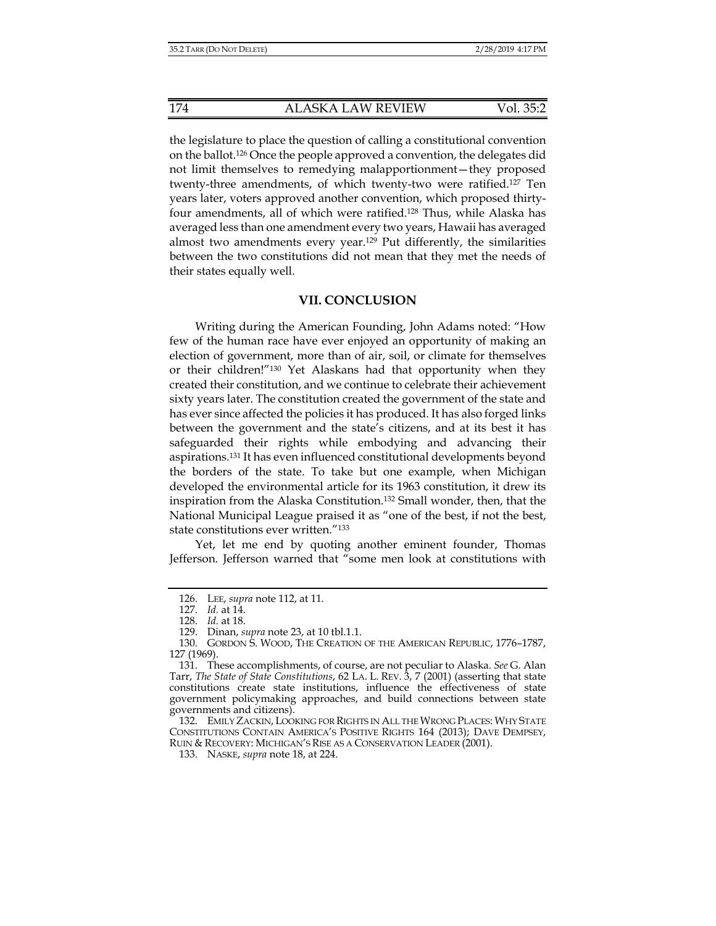the legislature to place the question of calling a constitutional convention on the ballot.126 Once the people approved a convention, the delegates did not limit themselves to remedying malapportionment—they proposed twenty-three amendments, of which twenty-two were ratified.127 Ten years later, voters approved another convention, which proposed thirtyfour amendments, all of which were ratified.128 Thus, while Alaska has averaged less than one amendment every two years, Hawaii has averaged almost two amendments every year.<sup>129</sup> Put differently, the similarities between the two constitutions did not mean that they met the needs of their states equally well.

#### **VII. CONCLUSION**

Writing during the American Founding, John Adams noted: "How few of the human race have ever enjoyed an opportunity of making an election of government, more than of air, soil, or climate for themselves or their children!"130 Yet Alaskans had that opportunity when they created their constitution, and we continue to celebrate their achievement sixty years later. The constitution created the government of the state and has ever since affected the policies it has produced. It has also forged links between the government and the state's citizens, and at its best it has safeguarded their rights while embodying and advancing their aspirations.131 It has even influenced constitutional developments beyond the borders of the state. To take but one example, when Michigan developed the environmental article for its 1963 constitution, it drew its inspiration from the Alaska Constitution.132 Small wonder, then, that the National Municipal League praised it as "one of the best, if not the best, state constitutions ever written."133

Yet, let me end by quoting another eminent founder, Thomas Jefferson. Jefferson warned that "some men look at constitutions with

 <sup>126.</sup> LEE, *supra* note 112, at 11.

 <sup>127.</sup> *Id.* at 14.

 <sup>128.</sup> *Id.* at 18.

 <sup>129.</sup> Dinan, *supra* note 23, at 10 tbl.1.1.

 <sup>130.</sup> GORDON S. WOOD, THE CREATION OF THE AMERICAN REPUBLIC, 1776–1787, 127 (1969).

 <sup>131.</sup> These accomplishments, of course, are not peculiar to Alaska. *See* G. Alan Tarr, *The State of State Constitutions*, 62 LA. L. REV. 3, 7 (2001) (asserting that state constitutions create state institutions, influence the effectiveness of state government policymaking approaches, and build connections between state governments and citizens).

 <sup>132.</sup> EMILY ZACKIN, LOOKING FOR RIGHTS IN ALL THE WRONG PLACES: WHY STATE CONSTITUTIONS CONTAIN AMERICA'S POSITIVE RIGHTS 164 (2013); DAVE DEMPSEY, RUIN & RECOVERY: MICHIGAN'S RISE AS A CONSERVATION LEADER (2001).

 <sup>133.</sup> NASKE, *supra* note 18, at 224.